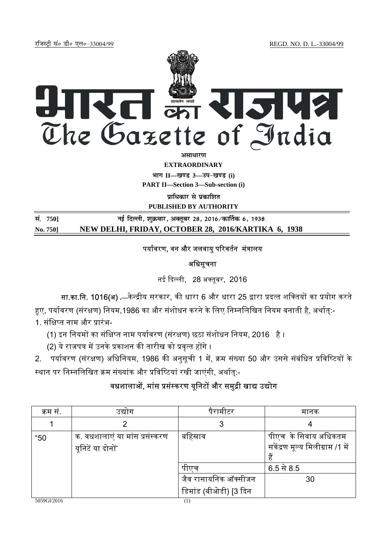jftLVªh laö Mhö ,yö&33004@99 REGD. NO. D. L.-33004/99



**EXTRAORDINARY**

**Hkkx II—[k.M 3—mi&[k.M (i)**

**PART II—Section 3—Sub-section (i)** 

**पाधिकार से प्रकाशित** 

**PUBLISHED BY AUTHORITY**

**la- 750] ubZ fnYyh] 'kqØokj] vDrwcj 28] 2016@dk£rd 6] 1938 No. 750] NEW DELHI, FRIDAY, OCTOBER 28, 2016/KARTIKA 6, 1938**

## पर्यावरण, वन और जलवायु परिवर्तन मंत्रालय

अधिसूचना

नई दिल्ली, 28 अक्तूबर, 2016

सा.<mark>का.नि. 1016(अ) .</mark>—केन्द्रीय सरकार, की धारा 6 और धारा 25 द्वारा प्रदत्त शक्तियों का प्रयोग करते

हए, पर्यावरण (संरक्षण) नियम,1986 का और संशोधन करने के लिए निम्नलिखित नियम बनाती है, अर्थात्:-1. संक्षिप्त नाम और प्रारंभ-

(1) इन नियमों का संक्षिप्त नाम पर्यावरण (संरक्षण) छठा संशोधन नियम, 2016 है ।

(2) ये राजपत्र में उनके प्रकाशन की तारीख को प्रवृत्त होंगे ।

2. पर्यावरण (संरक्षण) अधिनियम, 1986 की अनुसूची 1 में, क्रम संख्या 50 और उससे संबंधित प्रविष्टियों के स्थान पर निम्नलिखित क्रम संख्यांक और प्रविष्टियां रखी जाएंगी, अर्थात्:-

## वधशालाओं, मांस प्रसंस्करण यूनिटों और समुद्री खाद्य उद्योग

| क्रम स. | उद्याग                                              | पैरामीटर                                              | मानक                                                            |
|---------|-----------------------------------------------------|-------------------------------------------------------|-----------------------------------------------------------------|
|         |                                                     |                                                       |                                                                 |
| "50     | क. वधशालाएं या मांस प्रसंस्करण<br>यूनिटें या दोनों* | बहिस्राव                                              | पीएच  के सिवाय अधिकतम<br>सकेंद्रण मूल्य मिलीग्राम /1 में<br>हैं |
|         |                                                     | पाएच<br>जैव रासायनिक ऑक्सीजन<br>डिमांड (बीओडी) [3 दिन | $6.5 + 8.5$<br>30                                               |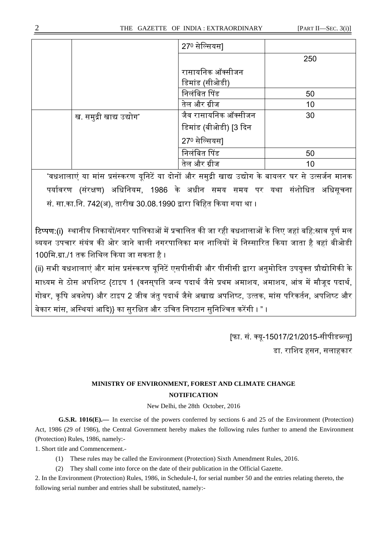|                          | 270 सेल्सियस]         |     |
|--------------------------|-----------------------|-----|
|                          |                       | 250 |
|                          | रासायनिक ऑक्सीजन      |     |
|                          | डिमांड (सीओडी)        |     |
|                          | निलंबित पिंड          | 50  |
|                          | तेल और ग्रीज          | 10  |
| ख. समुद्री खाद्य उद्योग* | जैव रासायनिक ऑक्सीजन  | 30  |
|                          | डिमांड (बीओडी) [3 दिन |     |
|                          | 270 सेल्सियस]         |     |
|                          | निलंबित पिंड          | 50  |
|                          | तेल और ग्रीज          | 10  |

\*वधशालाएं या मांस प्रसंस्करण यूनिटें या दोनों और समुद्री खाद्य उद्योग के बायलर घर से उत्सर्जन मानक पर्यावरण (संरक्षण) अधिनियम, 1986 के अधीन समय समय पर यथा संशोधित अधिसूचना सं. सा.का.नि. 742(अ), तारीख 30.08.1990 द्वारा विहित किया गया था ।

टिप्पण:(i) स्थानीय निकायों/नगर पालिकाओं में प्रचालित की जा रही वधशालाओं के लिए जहां बहि:स्राव पूर्ण मल <u>व्ययन उपचार संयंत्र की ओर जाने वाली नगरपालिका मल नालियों में निस्सारित किया जाता है वहां बीओडी</u> 100मि.ग्रा./1 तक शिथिल किया जा सकता है ।

(ii) सभी वधशालाएं और मांस प्रसंस्करण यूनिटें एसपीसीबी और पीसीसी द्वारा अनुमोदित उपयुक्त प्रौद्योगिकी के माध्यम से ठोस अपशिष्ट {टाइप 1 (वनसपति जन्य पदार्थ जैसे प्रथम अमाशय, अमाशय, आंत्र में मौजूद पदार्थ, गोबर, कृषि अवशेष) और टाइप 2 जीव जंतु पदार्थ जैसे अखाद्य अपशिष्ट, उत्तक, मांस परिकर्तन, अपशिष्ट और बेकार मांस, अस्थियां आदि)} का सुरक्षित और उचित निपटान सुनिश्चित करेंगी । " ।

> [फा. सं. क्यू-15017/21/2015-सीपीडब्ल्यू] डा. रािशद हसन, सलाहकार

## **MINISTRY OF ENVIRONMENT, FOREST AND CLIMATE CHANGE NOTIFICATION**

New Delhi, the 28th October, 2016

**G.S.R. 1016(E).—** In exercise of the powers conferred by sections 6 and 25 of the Environment (Protection) Act, 1986 (29 of 1986), the Central Government hereby makes the following rules further to amend the Environment (Protection) Rules, 1986, namely:-

1. Short title and Commencement.-

- (1) These rules may be called the Environment (Protection) Sixth Amendment Rules, 2016.
- (2) They shall come into force on the date of their publication in the Official Gazette.

2. In the Environment (Protection) Rules, 1986, in Schedule-I, for serial number 50 and the entries relating thereto, the following serial number and entries shall be substituted, namely:-